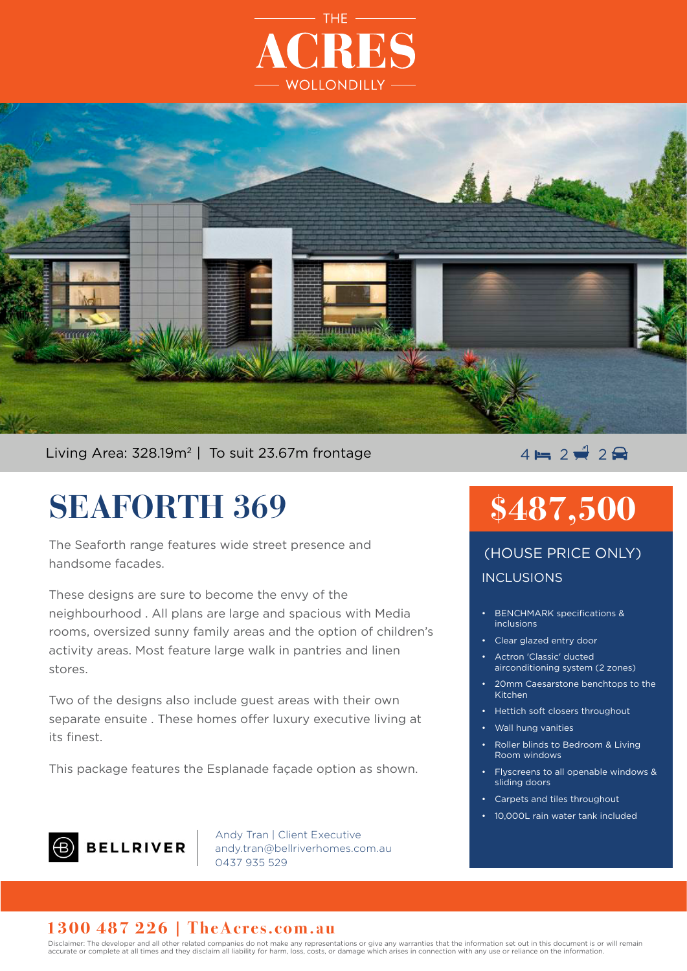



Living Area: 328.19m<sup>2</sup> | To suit 23.67m frontage  $\overline{4} = 2 \neq 2 \implies 2 \neq 3$ 

# **SEAFORTH 369**

The Seaforth range features wide street presence and handsome facades.

These designs are sure to become the envy of the neighbourhood . All plans are large and spacious with Media rooms, oversized sunny family areas and the option of children's activity areas. Most feature large walk in pantries and linen stores.

Two of the designs also include guest areas with their own separate ensuite . These homes offer luxury executive living at its finest.

This package features the Esplanade façade option as shown.

## **B** BELLRIVER

Andy Tran | Client Executive andy.tran@bellriverhomes.com.au 0437 935 529

# **\$487,500**

INCLUSIONS (HOUSE PRICE ONLY)

- BENCHMARK specifications & inclusions
- Clear glazed entry door
- Actron 'Classic' ducted airconditioning system (2 zones)
- 20mm Caesarstone benchtops to the Kitchen
- Hettich soft closers throughout
- Wall hung vanities
- Roller blinds to Bedroom & Living Room windows
- Flyscreens to all openable windows & sliding doors
- Carpets and tiles throughout
- 10,000L rain water tank included

### **1300 487 226 | TheAcres.com.au**

Disclaimer: The developer and all other related companies do not make any representations or give any warranties that the information set out in this document is or will remain accurate or complete at all times and they disclaim all liability for harm, loss, costs, or damage which arises in connection with any use or reliance on the information.